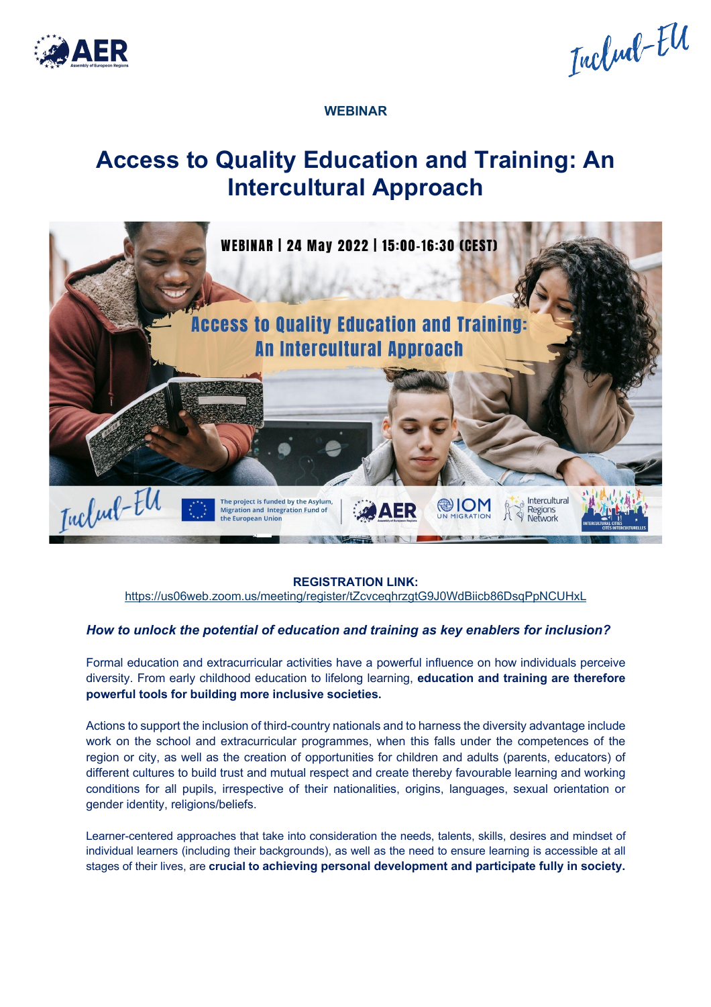

Includ-El

**WEBINAR**

## **Access to Quality Education and Training: An Intercultural Approach**



**REGISTRATION LINK:**

https://us06web.zoom.us/meeting/register/tZcvceqhrzgtG9J0WdBiicb86DsqPpNCUHxL

## *How to unlock the potential of education and training as key enablers for inclusion?*

Formal education and extracurricular activities have a powerful influence on how individuals perceive diversity. From early childhood education to lifelong learning, **education and training are therefore powerful tools for building more inclusive societies.** 

Actions to support the inclusion of third-country nationals and to harness the diversity advantage include work on the school and extracurricular programmes, when this falls under the competences of the region or city, as well as the creation of opportunities for children and adults (parents, educators) of different cultures to build trust and mutual respect and create thereby favourable learning and working conditions for all pupils, irrespective of their nationalities, origins, languages, sexual orientation or gender identity, religions/beliefs.

Learner-centered approaches that take into consideration the needs, talents, skills, desires and mindset of individual learners (including their backgrounds), as well as the need to ensure learning is accessible at all stages of their lives, are **crucial to achieving personal development and participate fully in society.**